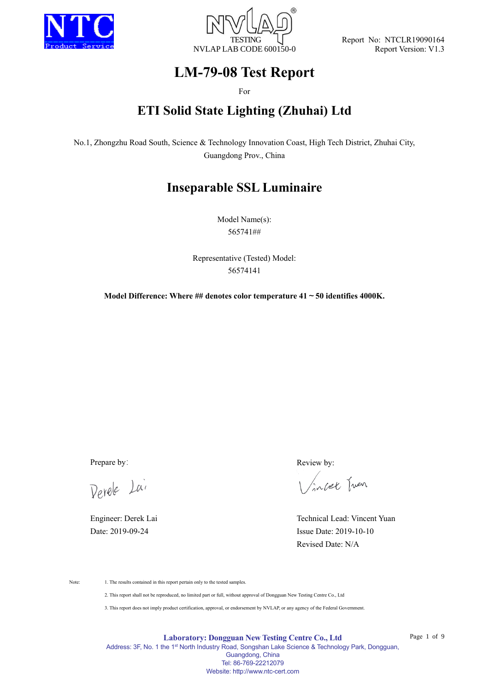



Report No: NTCLR19090164 Report Version: V1.3

# **LM-79-08 Test Report**

For

# **ETI Solid State Lighting (Zhuhai) Ltd**

No.1, Zhongzhu Road South, Science & Technology Innovation Coast, High Tech District, Zhuhai City, Guangdong Prov., China

# **Inseparable SSL Luminaire**

Model Name(s): 565741##

Representative (Tested) Model: 56574141

**Model Difference: Where ## denotes color temperature 41~50 identifies 4000K.**

Derele Lai

Prepare by: Review by:

incet Juen

Engineer: Derek Lai Technical Lead: Vincent Yuan Date: 2019-09-24 Issue Date: 2019-10-10 Revised Date: N/A

Note: 1. The results contained in this report pertain only to the tested samples.

2. This report shall not be reproduced, no limited part or full, without approval of Dongguan New Testing Centre Co., Ltd

3. This report does not imply product certification, approval, or endorsement by NVLAP, or any agency of the Federal Government.

**Laboratory: Dongguan New Testing Centre Co., Ltd**

Page 1 of 9

Address: 3F, No. 1 the 1<sup>st</sup> North Industry Road, Songshan Lake Science & Technology Park, Dongguan, Guangdong, China Tel: 86-769-22212079 Website: http://www.ntc-cert.com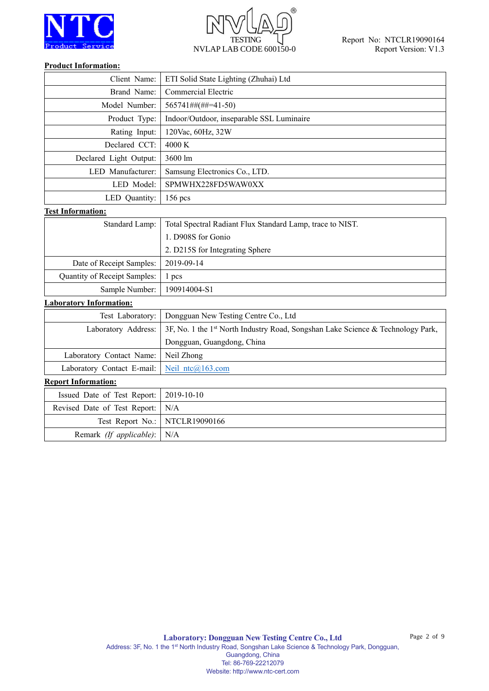



#### **Product Information:**

Remark *(If applicable)*: N/A

| Client Name:                   | ETI Solid State Lighting (Zhuhai) Ltd                                           |
|--------------------------------|---------------------------------------------------------------------------------|
| Brand Name:                    | Commercial Electric                                                             |
| Model Number:                  | 565741##(##=41-50)                                                              |
| Product Type:                  | Indoor/Outdoor, inseparable SSL Luminaire                                       |
| Rating Input:                  | 120Vac, 60Hz, 32W                                                               |
| Declared CCT:                  | 4000 K                                                                          |
| Declared Light Output:         | 3600 lm                                                                         |
| LED Manufacturer:              | Samsung Electronics Co., LTD.                                                   |
| LED Model:                     | SPMWHX228FD5WAW0XX                                                              |
| LED Quantity:                  | 156 pcs                                                                         |
| <b>Test Information:</b>       |                                                                                 |
| Standard Lamp:                 | Total Spectral Radiant Flux Standard Lamp, trace to NIST.                       |
|                                | 1. D908S for Gonio                                                              |
|                                | 2. D215S for Integrating Sphere                                                 |
| Date of Receipt Samples:       | 2019-09-14                                                                      |
| Quantity of Receipt Samples:   | 1 pcs                                                                           |
| Sample Number:                 | 190914004-S1                                                                    |
| <b>Laboratory Information:</b> |                                                                                 |
| Test Laboratory:               | Dongguan New Testing Centre Co., Ltd                                            |
| Laboratory Address:            | 3F, No. 1 the 1st North Industry Road, Songshan Lake Science & Technology Park, |
|                                | Dongguan, Guangdong, China                                                      |
| Laboratory Contact Name:       | Neil Zhong                                                                      |
| Laboratory Contact E-mail:     | Neil ntc@163.com                                                                |
| <b>Report Information:</b>     |                                                                                 |
| Issued Date of Test Report:    | 2019-10-10                                                                      |
| Revised Date of Test Report:   | N/A                                                                             |
| Test Report No.:               | NTCLR19090166                                                                   |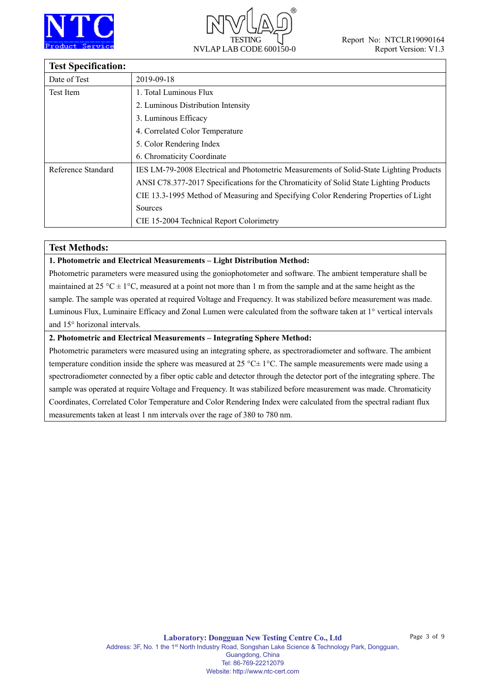



## **Test Specification:**

| тея эреспісаноні   |                                                                                         |
|--------------------|-----------------------------------------------------------------------------------------|
| Date of Test       | 2019-09-18                                                                              |
| Test Item          | 1. Total Luminous Flux                                                                  |
|                    | 2. Luminous Distribution Intensity                                                      |
|                    | 3. Luminous Efficacy                                                                    |
|                    | 4. Correlated Color Temperature                                                         |
|                    | 5. Color Rendering Index                                                                |
|                    | 6. Chromaticity Coordinate                                                              |
| Reference Standard | IES LM-79-2008 Electrical and Photometric Measurements of Solid-State Lighting Products |
|                    | ANSI C78.377-2017 Specifications for the Chromaticity of Solid State Lighting Products  |
|                    | CIE 13.3-1995 Method of Measuring and Specifying Color Rendering Properties of Light    |
|                    | Sources                                                                                 |
|                    | CIE 15-2004 Technical Report Colorimetry                                                |

## **Test Methods:**

### **1. Photometric and Electrical Measurements – Light Distribution Method:**

Photometric parameters were measured using the goniophotometer and software. The ambient temperature shall be maintained at 25 °C  $\pm$  1°C, measured at a point not more than 1 m from the sample and at the same height as the sample. The sample was operated at required Voltage and Frequency. It was stabilized before measurement was made. Luminous Flux, Luminaire Efficacy and Zonal Lumen were calculated from the software taken at 1° vertical intervals and 15° horizonal intervals.

### **2. Photometric and Electrical Measurements – Integrating Sphere Method:**

Photometric parameters were measured using an integrating sphere, as spectroradiometer and software. The ambient temperature condition inside the sphere was measured at 25 °C $\pm$  1°C. The sample measurements were made using a spectroradiometer connected by a fiber optic cable and detector through the detector port of the integrating sphere. The sample was operated at require Voltage and Frequency. It was stabilized before measurement was made. Chromaticity Coordinates, Correlated Color Temperature and Color Rendering Index were calculated from the spectral radiant flux measurements taken at least 1 nm intervals over the rage of 380 to 780 nm.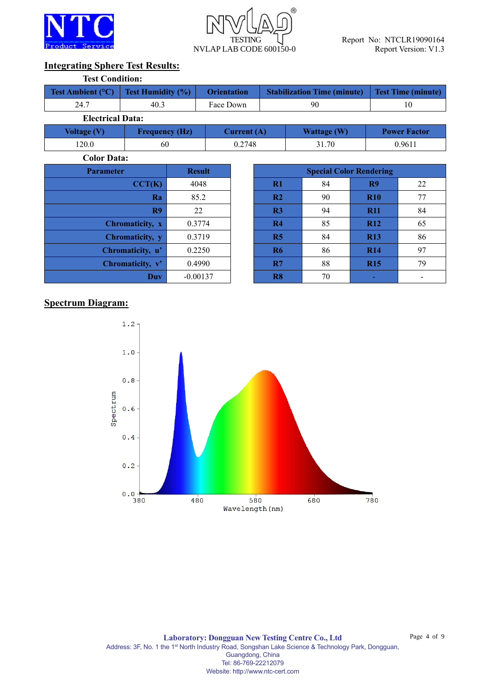



## **Integrating Sphere Test Results:**

| <b>Test Condition:</b>   |                          |                    |                           |                     |
|--------------------------|--------------------------|--------------------|---------------------------|---------------------|
| <b>Test Ambient (°C)</b> | <b>Test Humidity (%)</b> | <b>Orientation</b> | <b>Test Time (minute)</b> |                     |
| 24.7                     | 40.3                     | Face Down          | 90                        | 10                  |
| <b>Electrical Data:</b>  |                          |                    |                           |                     |
| Voltage (V)              | <b>Frequency (Hz)</b>    | Current $(A)$      | <b>Wattage (W)</b>        | <b>Power Factor</b> |
| 120.0                    | 60                       | 0.2748             | 31.70                     | 0.9611              |

**Color Data:**

| <b>Parameter</b> | <b>Result</b> |                | <b>Special Color Rendering</b> |            |
|------------------|---------------|----------------|--------------------------------|------------|
| CCT(K)           | 4048          | $R1$           | 84                             | R9         |
| Ra               | 85.2          | R <sub>2</sub> | 90                             | <b>R10</b> |
| R9               | 22            | R <sub>3</sub> | 94                             | <b>R11</b> |
| Chromaticity, x  | 0.3774        | R4             | 85                             | <b>R12</b> |
| Chromaticity, y  | 0.3719        | R5             | 84                             | <b>R13</b> |
| Chromaticity, u' | 0.2250        | <b>R6</b>      | 86                             | <b>R14</b> |
| Chromaticity, v' | 0.4990        | R7             | 88                             | <b>R15</b> |
| Duv              | $-0.00137$    | R8             | 70                             |            |

| ımeter           | <b>Result</b> |                |    | <b>Special Color Rendering</b> |    |
|------------------|---------------|----------------|----|--------------------------------|----|
| CCT(K)           | 4048          | R1             | 84 | R <sub>9</sub>                 | 22 |
| Ra               | 85.2          | R <sub>2</sub> | 90 | <b>R10</b>                     | 77 |
| R9               | 22            | R <sub>3</sub> | 94 | <b>R11</b>                     | 84 |
| Chromaticity, x  | 0.3774        | R <sub>4</sub> | 85 | <b>R12</b>                     | 65 |
| Chromaticity, y  | 0.3719        | R <sub>5</sub> | 84 | <b>R13</b>                     | 86 |
| Chromaticity, u' | 0.2250        | <b>R6</b>      | 86 | <b>R14</b>                     | 97 |
| Chromaticity, v' | 0.4990        | R7             | 88 | <b>R15</b>                     | 79 |
| <b>Duv</b>       | $-0.00137$    | R <sub>8</sub> | 70 |                                |    |

## **Spectrum Diagram:**

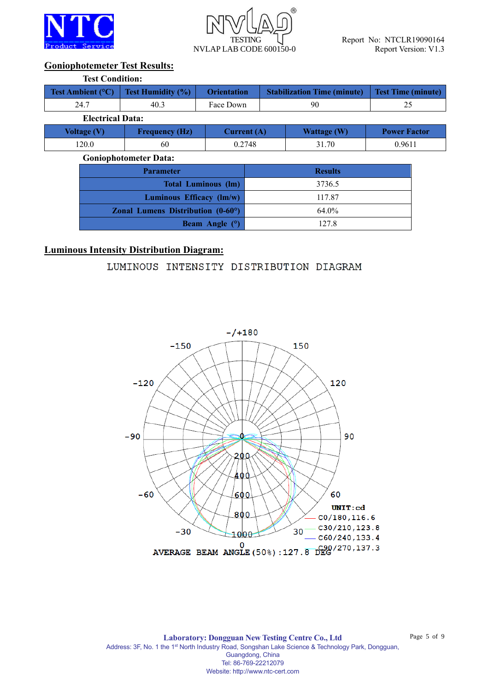



## **Goniophotemeter Test Results:**

| <b>Test Condition:</b>  |                                                              |                            |                |                                    |                           |  |  |  |  |
|-------------------------|--------------------------------------------------------------|----------------------------|----------------|------------------------------------|---------------------------|--|--|--|--|
| Test Ambient (°C)       | <b>Test Humidity (%)</b>                                     | <b>Orientation</b>         |                | <b>Stabilization Time (minute)</b> | <b>Test Time (minute)</b> |  |  |  |  |
| 24.7                    | 40.3                                                         | Face Down                  |                | 90                                 | 25                        |  |  |  |  |
| <b>Electrical Data:</b> |                                                              |                            |                |                                    |                           |  |  |  |  |
| <b>Voltage (V)</b>      | <b>Frequency (Hz)</b>                                        | Current $(A)$              |                | <b>Wattage (W)</b>                 | <b>Power Factor</b>       |  |  |  |  |
| 120.0                   | 60                                                           | 0.2748                     | 31.70          |                                    | 0.9611                    |  |  |  |  |
|                         | <b>Goniophotometer Data:</b>                                 |                            |                |                                    |                           |  |  |  |  |
|                         | <b>Parameter</b>                                             |                            | <b>Results</b> |                                    |                           |  |  |  |  |
|                         |                                                              | <b>Total Luminous (lm)</b> | 3736.5         |                                    |                           |  |  |  |  |
|                         | Luminous Efficacy (lm/w)                                     |                            | 117.87         |                                    |                           |  |  |  |  |
|                         | <b>Zonal Lumens Distribution <math>(0-60^{\circ})</math></b> |                            |                | 64.0%                              |                           |  |  |  |  |

**Beam Angle (°)** 127.8

## **Luminous Intensity Distribution Diagram:**

LUMINOUS INTENSITY DISTRIBUTION DIAGRAM



**Laboratory: Dongguan New Testing Centre Co., Ltd** Address: 3F, No. 1 the 1<sup>st</sup> North Industry Road, Songshan Lake Science & Technology Park, Dongguan, Guangdong, China Tel: 86-769-22212079 Website: http://www.ntc-cert.com

Page 5 of 9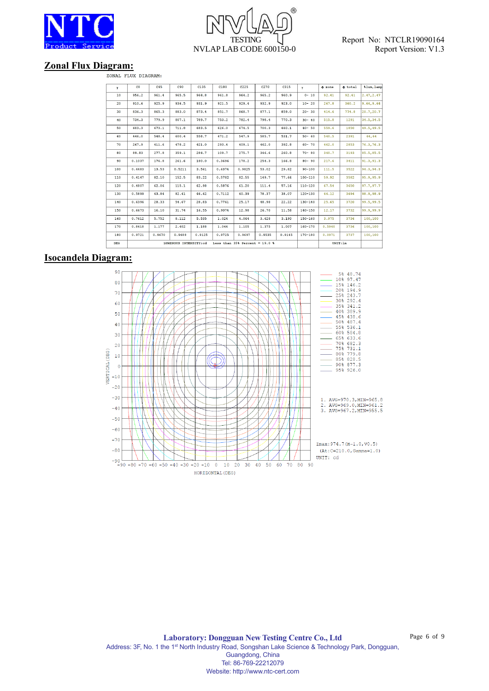



# **Zonal Flux Diagram:**<br><sup>ZONAL FLUX DIAGRAM:</sup>

| Y   | C <sub>0</sub> | C45    | C90                   | C135   | C180   | C225                             | C270   | C315   | $\mathbf{Y}$ | $\Phi$ zone | $\Phi$ total | %lum, lamp |
|-----|----------------|--------|-----------------------|--------|--------|----------------------------------|--------|--------|--------------|-------------|--------------|------------|
| 10  | 956.2          | 961.4  | 965.5                 | 964.8  | 961.8  | 964.2                            | 965.2  | 960.9  | $0 - 10$     | 92.41       | 92.41        | 2.47, 2.47 |
| 20  | 910.6          | 925.9  | 936.5                 | 931.9  | 921.5  | 929.4                            | 932.9  | 923.0  | $10 - 20$    | 267.8       | 360.2        | 9.64, 9.64 |
| 30  | 836.3          | 865.3  | 883.0                 | 873.4  | 851.7  | 868.7                            | 877.1  | 859.0  | $20 - 30$    | 414.6       | 774.8        | 20.7,20.7  |
| 40  | 734.3          | 779.9  | 807.1                 | 789.7  | 753.2  | 782.4                            | 798.4  | 770.3  | $30 - 40$    | 515.8       | 1291         | 34.5, 34.5 |
| 50  | 603.3          | 673.1  | 711.8                 | 683.5  | 626.0  | 674.5                            | 700.3  | 660.1  | $40 - 50$    | 559.6       | 1850         | 49.5, 49.5 |
| 60  | 446.0          | 548.4  | 600.4                 | 558.7  | 471.2  | 547.9                            | 585.7  | 531.7  | $50 - 60$    | 540.5       | 2391         | 64,64      |
| 70  | 267.9          | 411.6  | 478.2                 | 421.0  | 293.4  | 409.1                            | 462.0  | 392.8  | $60 - 70$    | 462.0       | 2853         | 76.3,76.3  |
| 80  | 89.83          | 277.8  | 359.1                 | 284.7  | 109.7  | 275.7                            | 346.6  | 260.8  | $70 - 80$    | 340.7       | 3193         | 85.5,85.5  |
| 90  | 0.1037         | 176.8  | 261.6                 | 180.0  | 0.3696 | 178.2                            | 254.3  | 166.8  | $80 - 90$    | 217.6       | 3411         | 91.3, 91.3 |
| 100 | 0.4483         | 13.53  | 0.5211                | 3.561  | 0.6374 | 0.9825                           | 53.02  | 29.82  | $90 - 100$   | 111.5       | 3522         | 94.3.94.3  |
| 110 | 0.4147         | 82.10  | 152.5                 | 83.22  | 0.5782 | 82.55                            | 149.7  | 77.66  | $100 - 110$  | 59.92       | 3582         | 95.9,95.9  |
| 120 | 0.4807         | 62.06  | 115.1                 | 62.98  | 0.5876 | 61.20                            | 111.4  | 57.16  | $110 - 120$  | 67.54       | 3650         | 97.7,97.7  |
| 130 | 0.5899         | 43.84  | 82.41                 | 44.42  | 0.7112 | 40.39                            | 78.37  | 38.07  | $120 - 130$  | 44.12       | 3694         | 98.9,98.9  |
| 140 | 0.6396         | 28.33  | 54.67                 | 28.83  | 0.7761 | 25.17                            | 48.98  | 22.22  | $130 - 140$  | 25.65       | 3720         | 99.5,99.5  |
| 150 | 0.6673         | 16.10  | 31.74                 | 16.55  | 0.9074 | 12.98                            | 26.70  | 11.58  | $140 - 150$  | 12.17       | 3732         | 99.9,99.9  |
| 160 | 0.7612         | 5.752  | 8.112                 | 5.535  | 1.024  | 4.064                            | 3.628  | 3.190  | $150 - 160$  | 3.975       | 3736         | 100,100    |
| 170 | 0.8418         | 1.177  | 2.402                 | 1.188  | 1.044  | 1.105                            | 1.375  | 1.007  | $160 - 170$  | 0.5940      | 3736         | 100,100    |
| 180 | 0.9721         | 0.9670 | 0.9488                | 0.9125 | 0.9725 | 0.9697                           | 0.9535 | 0.9145 | $170 - 180$  | 0.0971      | 3737         | 100,100    |
| DEG |                |        | LUMINOUS INTENSITY:cd |        |        | Less than $35%$ Percent = 19.0 % |        |        | UNIT: 1m     |             |              |            |

## **Isocandela Diagram:**



Page 6 of 9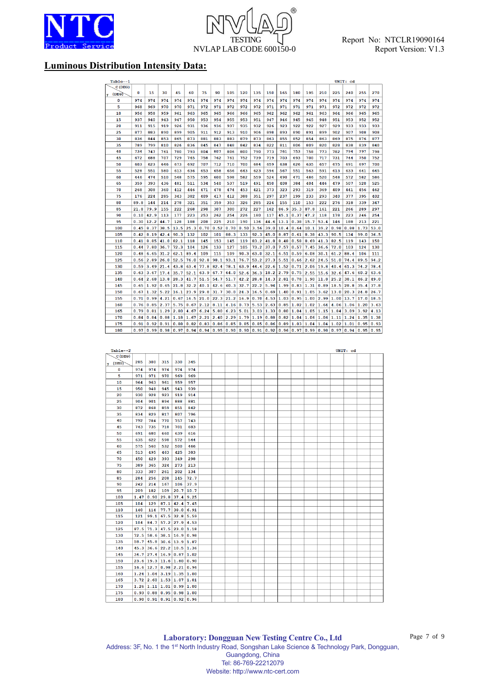

# $(R)$ **TESTING** NVLAP LAB CODE 600150-0

## **Luminous Distribution Intensity Data:**

| Table--1   |      |      |      |      |      |      |      |      |      |      |      |      |      |      |      |      | UNIT: cd |      |      |
|------------|------|------|------|------|------|------|------|------|------|------|------|------|------|------|------|------|----------|------|------|
| C(DEG)     |      |      |      |      |      |      |      |      |      |      |      |      |      |      |      |      |          |      |      |
| (DEG)<br>γ | 0    | 15   | 30   | 45   | 60   | 75   | 90   | 105  | 120  | 135  | 150  | 165  | 180  | 195  | 210  | 225  | 240      | 255  | 270  |
| 0          | 974  | 974  | 974  | 974  | 974  | 974  | 974  | 974  | 974  | 974  | 974  | 974  | 974  | 974  | 974  | 974  | 974      | 974  | 974  |
| 5          | 968  | 969  | 970  | 970  | 971  | 972  | 971  | 972  | 972  | 972  | 971  | 971  | 971  | 971  | 971  | 972  | 972      | 972  | 972  |
| 10         | 956  | 958  | 959  | 961  | 963  | 965  | 965  | 966  | 966  | 965  | 962  | 962  | 962  | 961  | 963  | 964  | 966      | 965  | 965  |
| 15         | 937  | 940  | 943  | 947  | 950  | 953  | 954  | 955  | 953  | 951  | 947  | 946  | 945  | 945  | 948  | 951  | 953      | 952  | 952  |
| 20         | 911  | 915  | 919  | 926  | 931  | 936  | 936  | 937  | 935  | 932  | 926  | 923  | 922  | 922  | 927  | 929  | 933      | 933  | 933  |
| 25         | 877  | 883  | 890  | 899  | 905  | 911  | 912  | 913  | 910  | 906  | 898  | 893  | 890  | 891  | 899  | 902  | 907      | 908  | 908  |
| 30         | 836  | 844  | 853  | 865  | 873  | 881  | 883  | 883  | 879  | 873  | 863  | 855  | 852  | 854  | 863  | 869  | 875      | 876  | 877  |
| 35         | 789  | 799  | 810  | 826  | 836  | 845  | 847  | 848  | 842  | 834  | 822  | 811  | 806  | 809  | 820  | 828  | 838      | 839  | 840  |
| 40         | 734  | 747  | 761  | 780  | 793  | 804  | 807  | 806  | 800  | 790  | 773  | 761  | 753  | 758  | 773  | 782  | 794      | 797  | 798  |
| 45         | 672  | 688  | 707  | 729  | 745  | 758  | 762  | 761  | 752  | 739  | 719  | 703  | 693  | 700  | 717  | 731  | 744      | 750  | 752  |
| 50         | 603  | 623  | 646  | 673  | 692  | 707  | 712  | 710  | 700  | 684  | 659  | 638  | 626  | 635  | 657  | 675  | 691      | 697  | 700  |
| 55         | 528  | 551  | 580  | 613  | 636  | 653  | 658  | 656  | 643  | 623  | 594  | 567  | 551  | 563  | 591  | 613  | 633      | 641  | 645  |
| 60         | 446  | 474  | 510  | 548  | 575  | 595  | 600  | 598  | 582  | 559  | 524  | 490  | 471  | 486  | 520  | 548  | 572      | 582  | 586  |
| 65         | 359  | 393  | 436  | 481  | 511  | 534  | 540  | 537  | 519  | 491  | 450  | 408  | 384  | 404  | 446  | 479  | 507      | 520  | 525  |
| 70         | 268  | 308  | 360  | 412  | 446  | 471  | 478  | 474  | 453  | 421  | 373  | 323  | 293  | 319  | 369  | 409  | 441      | 456  | 462  |
| 75         | 176  | 224  | 285  | 343  | 382  | 409  | 417  | 412  | 388  | 351  | 297  | 237  | 199  | 233  | 293  | 340  | 377      | 395  | 402  |
| 80         | 89.8 | 144  | 214  | 278  | 321  | 351  | 359  | 353  | 326  | 285  | 224  | 155  | 110  | 153  | 222  | 276  | 318      | 339  | 347  |
| 85         | 21.8 | 79.9 | 155  | 222  | 268  | 298  | 307  | 300  | 272  | 227  | 162  | 86.9 | 35.3 | 87.8 | 161  | 221  | 266      | 289  | 297  |
| 90         | 0.10 | 42.9 | 113  | 177  | 223  | 253  | 262  | 254  | 226  | 180  | 117  | 45.1 | 0.37 | 47.2 | 118  | 178  | 223      | 246  | 254  |
| 95         | 0.30 | 12.2 | 44.7 | 128  | 188  | 208  | 225  | 210  | 190  | 136  | 44.6 | 13.1 | 0.38 | 15.7 | 53.4 | 146  | 188      | 213  | 221  |
| 100        | 0.45 | 8.37 | 38.5 | 13.5 | 25.3 | 0.70 | 0.52 | 0.70 | 0.50 | 3.56 | 39.0 | 10.4 | 0.64 | 10.1 | 39.2 | 0.98 | 0.88     | 1.73 | 53.0 |
| 105        | 0.42 | 8.19 | 42.4 | 90.3 | 132  | 102  | 101  | 88.3 | 133  | 92.3 | 45.0 | 8.87 | 0.61 | 8.38 | 43.3 | 90.5 | 134      | 99.0 | 36.5 |
| 110        | 0.41 | 8.85 | 41.0 | 82.1 | 118  | 145  | 153  | 145  | 119  | 83.2 | 41.8 | 8.48 | 0.58 | 8.69 | 41.3 | 82.5 | 119      | 143  | 150  |
| 115        | 0.44 | 7.80 | 36.7 | 72.3 | 104  | 126  | 133  | 127  | 105  | 73.2 | 37.0 | 7.57 | 0.57 | 7.45 | 36.6 | 72.0 | 103      | 124  | 130  |
| 120        | 0.48 | 6.65 | 31.2 | 62.1 | 89.4 | 109  | 115  | 109  | 90.3 | 63.0 | 32.1 | 6.51 | 0.59 | 6.08 | 30.1 | 61.2 | 88.4     | 106  | 111  |
| 125        | 0.56 | 2.89 | 26.0 | 52.5 | 76.0 | 92.8 | 98.1 | 93.1 | 76.7 | 53.2 | 27.3 | 5.51 | 0.66 | 2.62 | 24.5 | 51.0 | 74.4     | 89.5 | 94.2 |
| 130        | 0.59 | 3.49 | 21.4 | 43.8 | 63.4 | 77.8 | 82.4 | 78.1 | 63.9 | 44.4 | 22.6 | 1.52 | 0.71 | 2.06 | 19.8 | 40.4 | 61.3     | 74.2 | 78.4 |
| 135        | 0.63 | 3.67 | 17.4 | 35.7 | 52.1 | 63.9 | 67.7 | 64.0 | 52.6 | 36.3 | 18.2 | 2.79 | 0.75 | 2.55 | 15.6 | 32.6 | 47.6     | 60.2 | 63.6 |
| 140        | 0.64 | 2.68 | 13.8 | 28.3 | 41.7 | 51.5 | 54.7 | 51.7 | 42.2 | 28.8 | 14.3 | 2.81 | 0.78 | 1.90 | 11.8 | 25.2 | 38.1     | 46.2 | 49.0 |
| 145        | 0.65 | 1.92 | 0.65 | 21.8 | 32.2 | 40.1 | 42.6 | 40.3 | 32.7 | 22.2 | 5.94 | 1.99 | 0.83 | 1.31 | 0.89 | 18.5 | 28.8     | 35.4 | 37.8 |
| 150        | 0.67 | 1.32 | 5.22 | 16.1 | 23.9 | 29.8 | 31.7 | 30.0 | 24.3 | 16.5 | 0.69 | 1.40 | 0.91 | 1.05 | 3.62 | 13.0 | 20.3     | 24.8 | 26.7 |
| 155        | 0.71 | 0.99 | 4.21 | 0.67 | 16.5 | 21.0 | 22.3 | 21.2 | 16.9 | 0.70 | 4.53 | 1.03 | 0.95 | 1.00 | 2.99 | 1.00 | 13.7     | 17.0 | 18.5 |
| 160        | 0.76 | 0.85 | 2.37 | 5.75 | 0.67 | 2.12 | 8.11 | 4.16 | 0.73 | 5.53 | 2.63 | 0.85 | 1.02 | 1.02 | 1.64 | 4.06 | 1.06     | 1.20 | 3.63 |
| 165        | 0.79 | 0.81 | 1.29 | 2.80 | 4.67 | 6.24 | 5.80 | 6.23 | 5.01 | 3.03 | 1.33 | 0.80 | 1.04 | 1.05 | 1.15 | 1.84 | 3.09     | 3.92 | 4.13 |
| 170        | 0.84 | 0.84 | 0.88 | 1.18 | 1.67 | 2.21 | 2.40 | 2.29 | 1.79 | 1.19 | 0.88 | 0.82 | 1.04 | 1.06 | 1.06 | 1.11 | 1.24     | 1.35 | 1.38 |
| 175        | 0.91 | 0.92 | 0.91 | 0.88 | 0.82 | 0.83 | 0.86 | 0.85 | 0.85 | 0.85 | 0.86 | 0.89 | 1.03 | 1.04 | 1.04 | 1.02 | 1.01     | 0.95 | 0.93 |
| 180        | 0.97 | 0.99 | 0.98 | 0.97 | 0.94 | 0.94 | 0.95 | 0.90 | 0.90 | 0.91 | 0.92 | 0.96 | 0.97 | 0.99 | 0.98 | 0.97 | 0.94     | 0.95 | 0.95 |
|            |      |      |      |      |      |      |      |      |      |      |      |      |      |      |      |      |          |      |      |
|            |      |      |      |      |      |      |      |      |      |      |      |      |      |      |      |      |          |      |      |
|            |      |      |      |      |      |      |      |      |      |      |      |      |      |      |      |      |          |      |      |
| Table--2   |      |      |      |      |      |      |      |      |      |      |      |      |      |      |      |      | UNIT: cd |      |      |
| C(DEG)     |      |      |      |      |      |      |      |      |      |      |      |      |      |      |      |      |          |      |      |
| (DEG)      | 285  | 300  | 315  | 330  | 345  |      |      |      |      |      |      |      |      |      |      |      |          |      |      |
| 0          | 974  | 974  | 974  | 974  | 974  |      |      |      |      |      |      |      |      |      |      |      |          |      |      |
| 5          | 971  | 971  | 970  | 969  | 969  |      |      |      |      |      |      |      |      |      |      |      |          |      |      |
| 10         | 964  | 963  | 961  | 959  | 957  |      |      |      |      |      |      |      |      |      |      |      |          |      |      |
| 15         | 950  | 948  | 945  | 943  | 939  |      |      |      |      |      |      |      |      |      |      |      |          |      |      |
| 20         | 930  | 928  | 923  | 919  | 914  |      |      |      |      |      |      |      |      |      |      |      |          |      |      |
| 25         | 904  | 901  | 894  | 888  | 881  |      |      |      |      |      |      |      |      |      |      |      |          |      |      |
| 30         | 872  | 868  | 859  | 851  | 842  |      |      |      |      |      |      |      |      |      |      |      |          |      |      |

| C(DEG)         |      |             |      |                                                |             |  |  |  |  |  |  |  |
|----------------|------|-------------|------|------------------------------------------------|-------------|--|--|--|--|--|--|--|
| $\gamma$ (DEG) | 285  | 300         | 315  | 330                                            | 345         |  |  |  |  |  |  |  |
| 0              | 974  | 974         | 974  | 974                                            | 974         |  |  |  |  |  |  |  |
| 5              | 971  | 971         | 970  | 969                                            | 969         |  |  |  |  |  |  |  |
| 10             | 964  | 963         | 961  | 959                                            | 957         |  |  |  |  |  |  |  |
| 15             | 950  | 948         | 945  | 943                                            | 939         |  |  |  |  |  |  |  |
| 20             | 930  | 928         | 923  | 919                                            | 914         |  |  |  |  |  |  |  |
| 25             | 904  | 901         | 894  | 888                                            | 881         |  |  |  |  |  |  |  |
| 30             | 872  | 868         | 859  | 851                                            | 842         |  |  |  |  |  |  |  |
| 35             | 834  | 829         | 817  | 807                                            | 796         |  |  |  |  |  |  |  |
| 40             | 792  | 784         | 770  | 757                                            | 743         |  |  |  |  |  |  |  |
| 45             | 743  | 735         | 718  | 701                                            | 683         |  |  |  |  |  |  |  |
| 50             | 691  | 680         | 660  | 639                                            | 616         |  |  |  |  |  |  |  |
| 55             | 635  | 622         | 598  | 572                                            | 544         |  |  |  |  |  |  |  |
| 60             | 575  | 560         | 532  | 500                                            | 466         |  |  |  |  |  |  |  |
| 65             | 513  | 495         | 463  | 425                                            | 383         |  |  |  |  |  |  |  |
| 70             | 450  | 429         | 393  | 349                                            | 298         |  |  |  |  |  |  |  |
| 75             | 389  | 365         | 324  | 273                                            | 213         |  |  |  |  |  |  |  |
| 80             | 333  | 307         | 261  | 202                                            | 134         |  |  |  |  |  |  |  |
| 85             | 284  | 256         | 208  | 145                                            | 72.7        |  |  |  |  |  |  |  |
| 90             | 242  | 214         | 167  | 106                                            | 37.9        |  |  |  |  |  |  |  |
| 95             | 209  | 182         | 109  |                                                | $20.7$ 10.7 |  |  |  |  |  |  |  |
| 100            | 1.47 | 0.90        | 29.8 | $37.4$ 9.25                                    |             |  |  |  |  |  |  |  |
| 105            | 104  | 129         | 87.1 | $42.4$ 7.45                                    |             |  |  |  |  |  |  |  |
| 110            | 140  | 114         |      | $77.7$ 38.0 6.91                               |             |  |  |  |  |  |  |  |
| 115            | 121  | 99.1        |      | $67.5$ 32.8 5.59                               |             |  |  |  |  |  |  |  |
| 120            | 104  | 84.7        |      | $57.2$ 27.9 4.53                               |             |  |  |  |  |  |  |  |
| 125            | 87.5 |             |      | $1.3$ 47.5 23.0 1.18                           |             |  |  |  |  |  |  |  |
| 130            | 72.5 |             |      | $58.6$ 38.1 16.9 0.98                          |             |  |  |  |  |  |  |  |
| 135            | 58.7 |             |      | $45.8$ 30.6 13.9 1.87                          |             |  |  |  |  |  |  |  |
| 140            | 45.3 |             |      | $36.6$   22.2   10.5   1.36                    |             |  |  |  |  |  |  |  |
| 145            | 34.7 |             |      | $27.4$ 16.9 0.87 1.02                          |             |  |  |  |  |  |  |  |
| 150            |      |             |      | $23.6$ 19.3 11.6 1.80 0.90                     |             |  |  |  |  |  |  |  |
| 155            |      | $16.6$ 12.7 |      | $0.98$ 2.21 0.96                               |             |  |  |  |  |  |  |  |
| 160            |      |             |      | $1.24$ 1.04 3.19 1.35 1.00                     |             |  |  |  |  |  |  |  |
| 165            |      |             |      | $3.72$ $2.60$ $1.53$ $1.07$ $1.01$             |             |  |  |  |  |  |  |  |
| 170            |      |             |      | $1.26 \mid 1.11 \mid 1.01 \mid 0.99 \mid 1.00$ |             |  |  |  |  |  |  |  |
| 175            |      |             |      | 0.93   0.88   0.95   0.98   1.00               |             |  |  |  |  |  |  |  |
| 180            |      |             |      | 0.90   0.91   0.91   0.92   0.96               |             |  |  |  |  |  |  |  |

**Laboratory: Dongguan New Testing Centre Co., Ltd** Address: 3F, No. 1 the 1<sup>st</sup> North Industry Road, Songshan Lake Science & Technology Park, Dongguan, Guangdong, China Tel: 86-769-22212079 Website: http://www.ntc-cert.com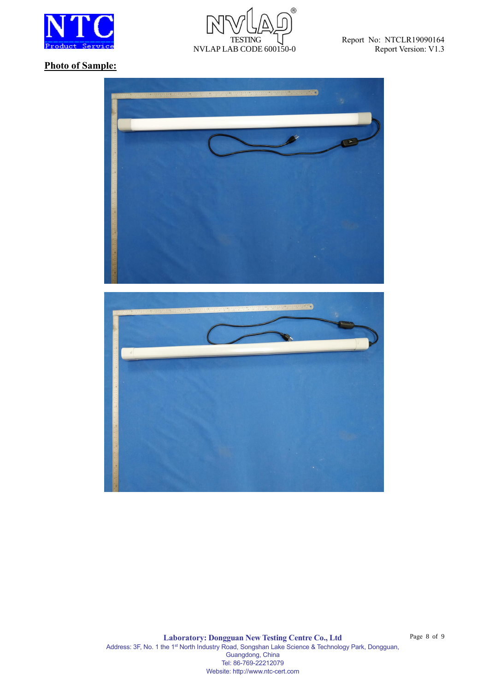



Report No: NTCLR19090164 Report Version: V1.3

## **Photo of Sample:**



Page 8 of 9